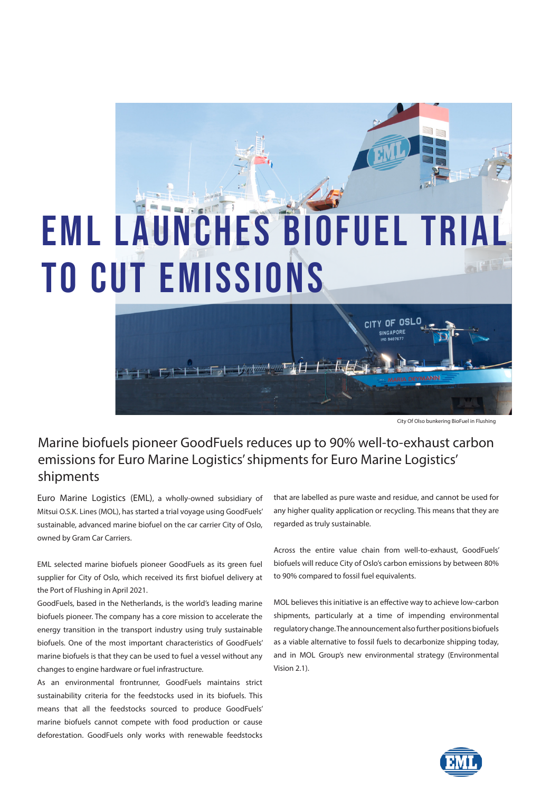## E M L LAUNCHES BIOFUEL TRI to cut emissions

City Of Olso bunkering BioFuel in Flushing

## Marine biofuels pioneer GoodFuels reduces up to 90% well-to-exhaust carbon emissions for Euro Marine Logistics' shipments for Euro Marine Logistics' shipments

 $\left\vert \left\langle \cdot\right\vert \right\vert =\left\vert \left\langle \cdot\right\vert \right\vert \left\langle \cdot\right\vert \right\vert ^{2}$ 

Euro Marine Logistics (EML), a wholly-owned subsidiary of Mitsui O.S.K. Lines (MOL), has started a trial voyage using GoodFuels' sustainable, advanced marine biofuel on the car carrier City of Oslo, owned by Gram Car Carriers.

 $1 + 1$ 

EML selected marine biofuels pioneer GoodFuels as its green fuel supplier for City of Oslo, which received its first biofuel delivery at the Port of Flushing in April 2021.

GoodFuels, based in the Netherlands, is the world's leading marine biofuels pioneer. The company has a core mission to accelerate the energy transition in the transport industry using truly sustainable biofuels. One of the most important characteristics of GoodFuels' marine biofuels is that they can be used to fuel a vessel without any changes to engine hardware or fuel infrastructure.

As an environmental frontrunner, GoodFuels maintains strict sustainability criteria for the feedstocks used in its biofuels. This means that all the feedstocks sourced to produce GoodFuels' marine biofuels cannot compete with food production or cause deforestation. GoodFuels only works with renewable feedstocks that are labelled as pure waste and residue, and cannot be used for any higher quality application or recycling. This means that they are regarded as truly sustainable.

citY OF

Across the entire value chain from well-to-exhaust, GoodFuels' biofuels will reduce City of Oslo's carbon emissions by between 80% to 90% compared to fossil fuel equivalents.

MOL believes this initiative is an effective way to achieve low-carbon shipments, particularly at a time of impending environmental regulatory change. The announcement also further positions biofuels as a viable alternative to fossil fuels to decarbonize shipping today, and in MOL Group's new environmental strategy (Environmental Vision 2.1).